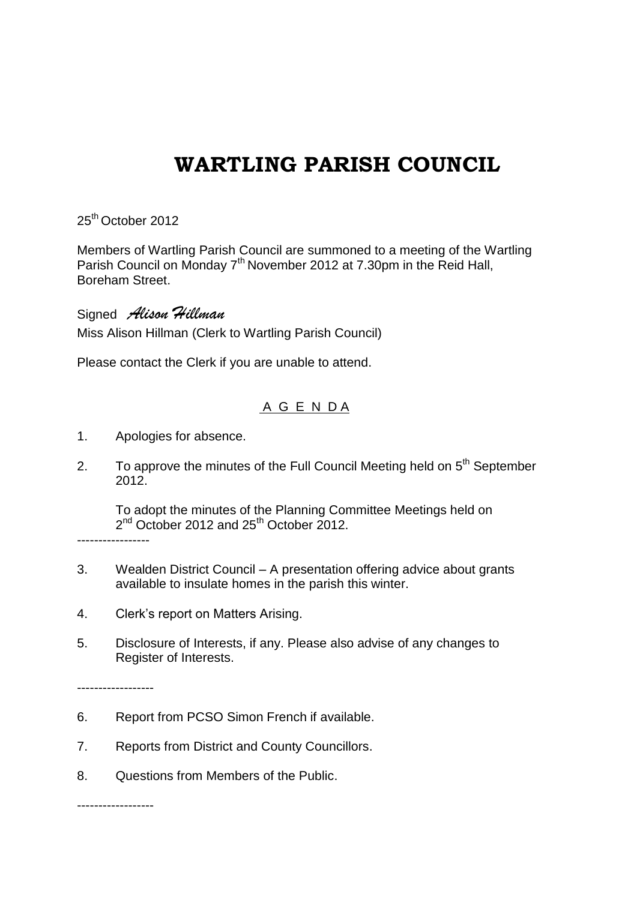## **WARTLING PARISH COUNCIL**

25<sup>th</sup> October 2012

Members of Wartling Parish Council are summoned to a meeting of the Wartling Parish Council on Monday 7<sup>th</sup> November 2012 at 7.30pm in the Reid Hall, Boreham Street.

Signed *Alison Hillman* Miss Alison Hillman (Clerk to Wartling Parish Council)

Please contact the Clerk if you are unable to attend.

## A G E N D A

- 1. Apologies for absence.
- 2. To approve the minutes of the Full Council Meeting held on  $5<sup>th</sup>$  September 2012.

To adopt the minutes of the Planning Committee Meetings held on 2<sup>nd</sup> October 2012 and 25<sup>th</sup> October 2012.

-----------------

- 3. Wealden District Council A presentation offering advice about grants available to insulate homes in the parish this winter.
- 4. Clerk's report on Matters Arising.
- 5. Disclosure of Interests, if any. Please also advise of any changes to Register of Interests.

------------------

- 6. Report from PCSO Simon French if available.
- 7. Reports from District and County Councillors.
- 8. Questions from Members of the Public.

------------------